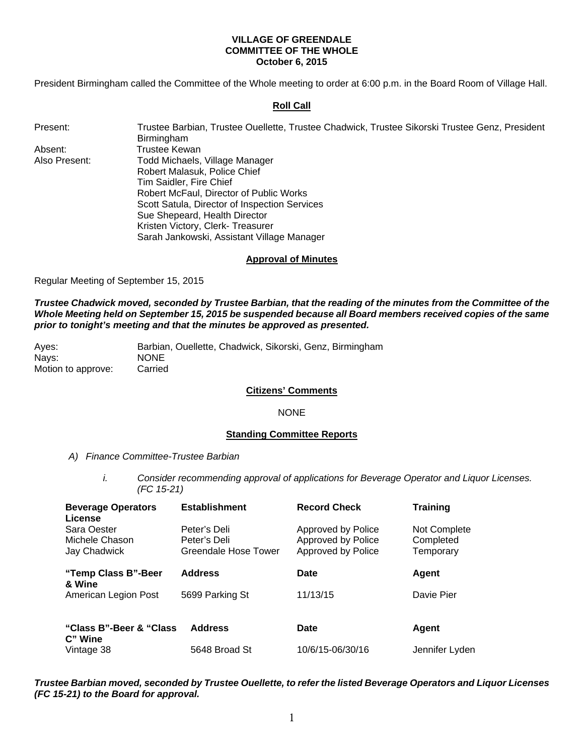### **VILLAGE OF GREENDALE COMMITTEE OF THE WHOLE October 6, 2015**

President Birmingham called the Committee of the Whole meeting to order at 6:00 p.m. in the Board Room of Village Hall.

# **Roll Call**

Present: Trustee Barbian, Trustee Ouellette, Trustee Chadwick, Trustee Sikorski Trustee Genz, President

Absent: Trustee Kewan Also Present: Todd Michaels, Village Manager Robert Malasuk, Police Chief Tim Saidler, Fire Chief Robert McFaul, Director of Public Works Scott Satula, Director of Inspection Services Sue Shepeard, Health Director Kristen Victory, Clerk- Treasurer Sarah Jankowski, Assistant Village Manager

**Birmingham** 

### **Approval of Minutes**

Regular Meeting of September 15, 2015

*Trustee Chadwick moved, seconded by Trustee Barbian, that the reading of the minutes from the Committee of the Whole Meeting held on September 15, 2015 be suspended because all Board members received copies of the same prior to tonight's meeting and that the minutes be approved as presented.* 

| Aves:              | Barbian, Ouellette, Chadwick, Sikorski, Genz, Birmingham |  |  |
|--------------------|----------------------------------------------------------|--|--|
| Navs:              | <b>NONE</b>                                              |  |  |
| Motion to approve: | Carried                                                  |  |  |

### **Citizens' Comments**

### NONE

### **Standing Committee Reports**

- *A) Finance Committee-Trustee Barbian* 
	- *i. Consider recommending approval of applications for Beverage Operator and Liquor Licenses. (FC 15-21)*

| <b>Beverage Operators</b><br>License          | <b>Establishment</b>                                 | <b>Record Check</b>                                            | <b>Training</b>                        |
|-----------------------------------------------|------------------------------------------------------|----------------------------------------------------------------|----------------------------------------|
| Sara Oester<br>Michele Chason<br>Jay Chadwick | Peter's Deli<br>Peter's Deli<br>Greendale Hose Tower | Approved by Police<br>Approved by Police<br>Approved by Police | Not Complete<br>Completed<br>Temporary |
| "Temp Class B"-Beer<br>& Wine                 | <b>Address</b>                                       | Date                                                           | Agent                                  |
| American Legion Post                          | 5699 Parking St                                      | 11/13/15                                                       | Davie Pier                             |
| "Class B"-Beer & "Class"<br>C" Wine           | <b>Address</b>                                       | Date                                                           | Agent                                  |
| Vintage 38                                    | 5648 Broad St                                        | 10/6/15-06/30/16                                               | Jennifer Lyden                         |

*Trustee Barbian moved, seconded by Trustee Ouellette, to refer the listed Beverage Operators and Liquor Licenses (FC 15-21) to the Board for approval.*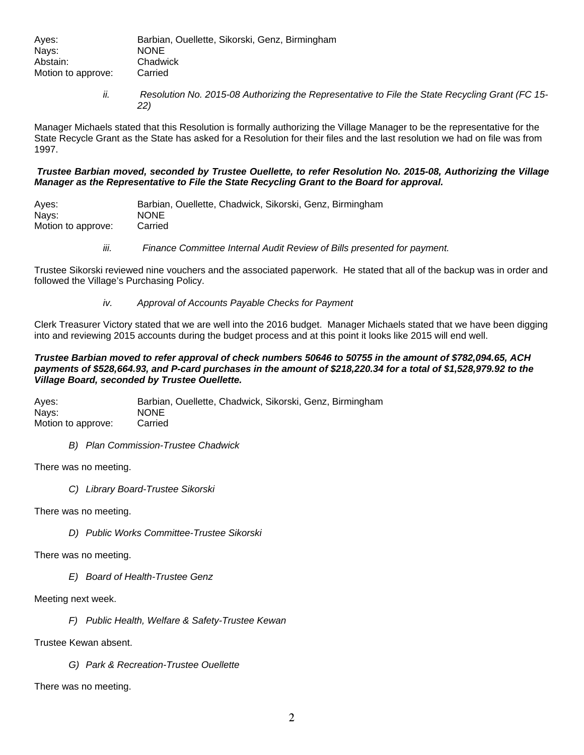| Ayes:              | Barbian, Ouellette, Sikorski, Genz, Birmingham |
|--------------------|------------------------------------------------|
| Nays:              | <b>NONE</b>                                    |
| Abstain:           | Chadwick                                       |
| Motion to approve: | Carried                                        |

*ii. Resolution No. 2015-08 Authorizing the Representative to File the State Recycling Grant (FC 15- 22)* 

Manager Michaels stated that this Resolution is formally authorizing the Village Manager to be the representative for the State Recycle Grant as the State has asked for a Resolution for their files and the last resolution we had on file was from 1997.

# *Trustee Barbian moved, seconded by Trustee Ouellette, to refer Resolution No. 2015-08, Authorizing the Village Manager as the Representative to File the State Recycling Grant to the Board for approval.*

Ayes: Barbian, Ouellette, Chadwick, Sikorski, Genz, Birmingham Nays: NONE Motion to approve: Carried

*iii. Finance Committee Internal Audit Review of Bills presented for payment.* 

Trustee Sikorski reviewed nine vouchers and the associated paperwork. He stated that all of the backup was in order and followed the Village's Purchasing Policy.

*iv. Approval of Accounts Payable Checks for Payment* 

Clerk Treasurer Victory stated that we are well into the 2016 budget. Manager Michaels stated that we have been digging into and reviewing 2015 accounts during the budget process and at this point it looks like 2015 will end well.

### *Trustee Barbian moved to refer approval of check numbers 50646 to 50755 in the amount of \$782,094.65, ACH payments of \$528,664.93, and P-card purchases in the amount of \$218,220.34 for a total of \$1,528,979.92 to the Village Board, seconded by Trustee Ouellette.*

Ayes: Barbian, Ouellette, Chadwick, Sikorski, Genz, Birmingham Nays: NONE Motion to approve: Carried

*B) Plan Commission-Trustee Chadwick* 

There was no meeting.

*C) Library Board-Trustee Sikorski* 

There was no meeting.

*D) Public Works Committee-Trustee Sikorski* 

There was no meeting.

*E) Board of Health-Trustee Genz* 

Meeting next week.

*F) Public Health, Welfare & Safety-Trustee Kewan* 

Trustee Kewan absent.

*G) Park & Recreation-Trustee Ouellette* 

There was no meeting.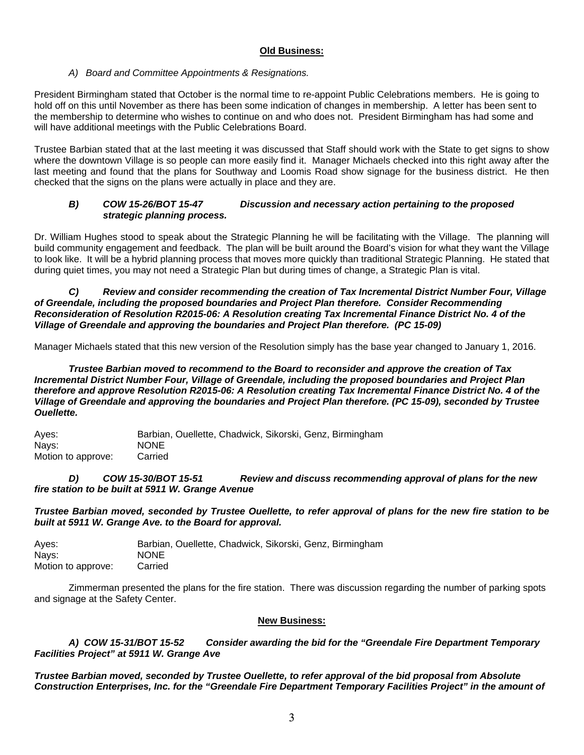# **Old Business:**

# *A) Board and Committee Appointments & Resignations.*

President Birmingham stated that October is the normal time to re-appoint Public Celebrations members. He is going to hold off on this until November as there has been some indication of changes in membership. A letter has been sent to the membership to determine who wishes to continue on and who does not. President Birmingham has had some and will have additional meetings with the Public Celebrations Board.

Trustee Barbian stated that at the last meeting it was discussed that Staff should work with the State to get signs to show where the downtown Village is so people can more easily find it. Manager Michaels checked into this right away after the last meeting and found that the plans for Southway and Loomis Road show signage for the business district. He then checked that the signs on the plans were actually in place and they are.

# *B) COW 15-26/BOT 15-47 Discussion and necessary action pertaining to the proposed strategic planning process.*

Dr. William Hughes stood to speak about the Strategic Planning he will be facilitating with the Village. The planning will build community engagement and feedback. The plan will be built around the Board's vision for what they want the Village to look like. It will be a hybrid planning process that moves more quickly than traditional Strategic Planning. He stated that during quiet times, you may not need a Strategic Plan but during times of change, a Strategic Plan is vital.

*C) Review and consider recommending the creation of Tax Incremental District Number Four, Village of Greendale, including the proposed boundaries and Project Plan therefore. Consider Recommending Reconsideration of Resolution R2015-06: A Resolution creating Tax Incremental Finance District No. 4 of the Village of Greendale and approving the boundaries and Project Plan therefore. (PC 15-09)* 

Manager Michaels stated that this new version of the Resolution simply has the base year changed to January 1, 2016.

*Trustee Barbian moved to recommend to the Board to reconsider and approve the creation of Tax Incremental District Number Four, Village of Greendale, including the proposed boundaries and Project Plan therefore and approve Resolution R2015-06: A Resolution creating Tax Incremental Finance District No. 4 of the Village of Greendale and approving the boundaries and Project Plan therefore. (PC 15-09), seconded by Trustee Ouellette.* 

Ayes: Barbian, Ouellette, Chadwick, Sikorski, Genz, Birmingham Nays: NONE Motion to approve: Carried

*D) COW 15-30/BOT 15-51 Review and discuss recommending approval of plans for the new fire station to be built at 5911 W. Grange Avenue* 

*Trustee Barbian moved, seconded by Trustee Ouellette, to refer approval of plans for the new fire station to be built at 5911 W. Grange Ave. to the Board for approval.* 

Ayes: Barbian, Ouellette, Chadwick, Sikorski, Genz, Birmingham Nays: NONE Motion to approve: Carried

Zimmerman presented the plans for the fire station. There was discussion regarding the number of parking spots and signage at the Safety Center.

### **New Business:**

 *A) COW 15-31/BOT 15-52 Consider awarding the bid for the "Greendale Fire Department Temporary Facilities Project" at 5911 W. Grange Ave*

*Trustee Barbian moved, seconded by Trustee Ouellette, to refer approval of the bid proposal from Absolute Construction Enterprises, Inc. for the "Greendale Fire Department Temporary Facilities Project" in the amount of*